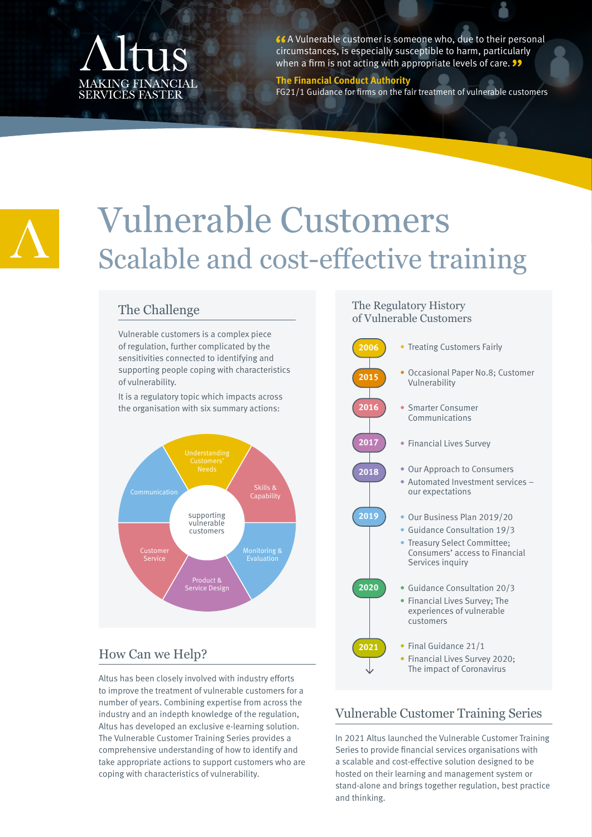# MAKING FINANCIAL<br>SERVICES FASTER

66 A Vulnerable customer is someone who, due to their personal circumstances, is especially susceptible to harm, particularly when a firm is not acting with appropriate levels of care.  $\bullet\bullet$ 

#### **The Financial Conduct Authority**

FG21/1 Guidance for firms on the fair treatment of vulnerable customers



# Vulnerable Customers Scalable and cost-effective training

# The Challenge

Vulnerable customers is a complex piece of regulation, further complicated by the sensitivities connected to identifying and supporting people coping with characteristics of vulnerability.

It is a regulatory topic which impacts across the organisation with six summary actions:



# How Can we Help?

Altus has been closely involved with industry efforts to improve the treatment of vulnerable customers for a number of years. Combining expertise from across the industry and an indepth knowledge of the regulation, Altus has developed an exclusive e-learning solution. The Vulnerable Customer Training Series provides a comprehensive understanding of how to identify and take appropriate actions to support customers who are coping with characteristics of vulnerability.

#### The Regulatory History of Vulnerable Customers



# Vulnerable Customer Training Series

In 2021 Altus launched the Vulnerable Customer Training Series to provide financial services organisations with a scalable and cost-effective solution designed to be hosted on their learning and management system or stand-alone and brings together regulation, best practice and thinking.